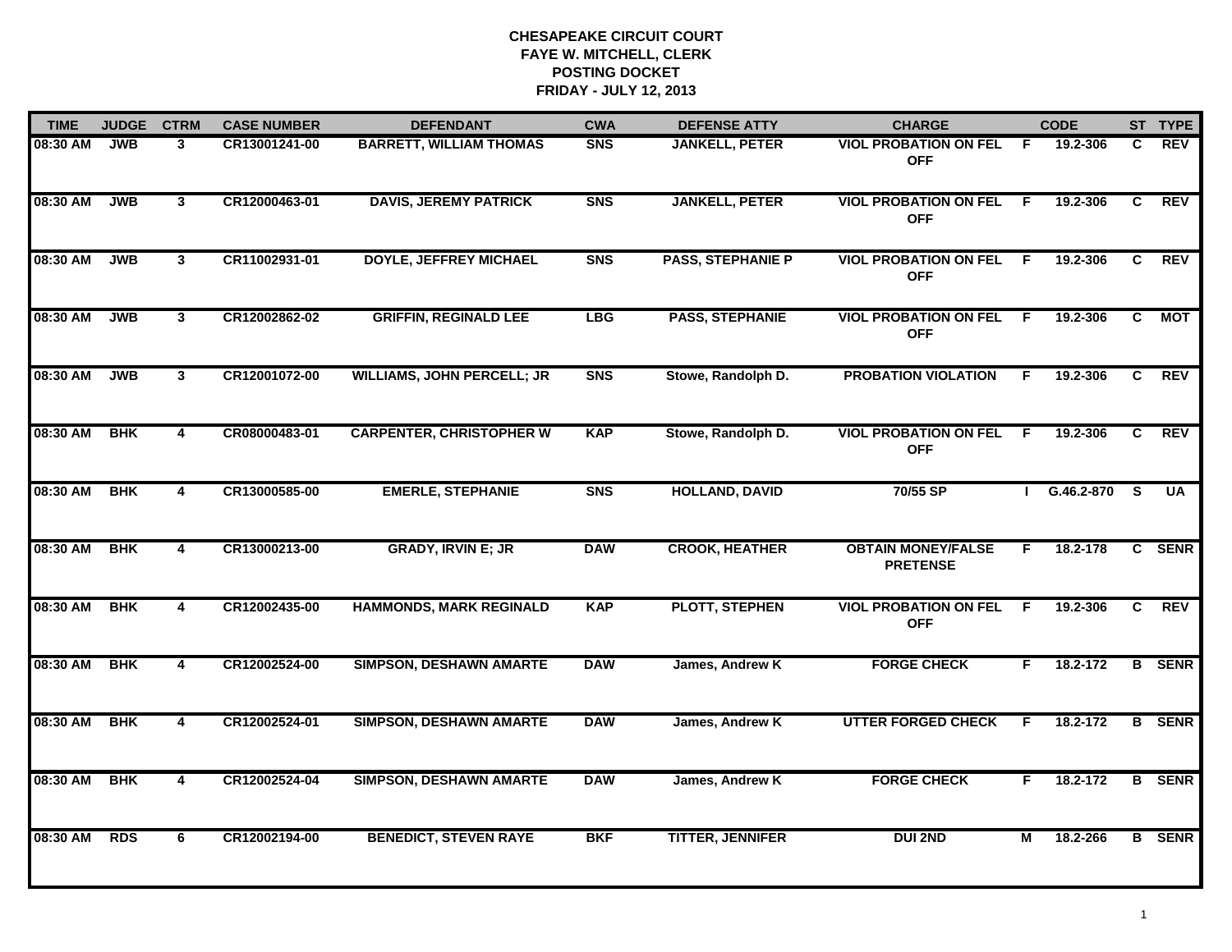| <b>TIME</b> | <b>JUDGE</b> | <b>CTRM</b>    | <b>CASE NUMBER</b> | <b>DEFENDANT</b>                  | <b>CWA</b>     | <b>DEFENSE ATTY</b>      | <b>CHARGE</b>                                |     | <b>CODE</b>    |                         | ST TYPE       |
|-------------|--------------|----------------|--------------------|-----------------------------------|----------------|--------------------------|----------------------------------------------|-----|----------------|-------------------------|---------------|
| 08:30 AM    | <b>JWB</b>   | 3              | CR13001241-00      | <b>BARRETT, WILLIAM THOMAS</b>    | <b>SNS</b>     | <b>JANKELL, PETER</b>    | <b>VIOL PROBATION ON FEL</b><br><b>OFF</b>   | F   | 19.2-306       | C.                      | <b>REV</b>    |
| 08:30 AM    | <b>JWB</b>   | 3 <sup>1</sup> | CR12000463-01      | <b>DAVIS, JEREMY PATRICK</b>      | S <sub>N</sub> | <b>JANKELL, PETER</b>    | <b>VIOL PROBATION ON FEL</b><br><b>OFF</b>   | E   | 19.2-306       | C.                      | <b>REV</b>    |
| 08:30 AM    | <b>JWB</b>   | 3              | CR11002931-01      | <b>DOYLE, JEFFREY MICHAEL</b>     | S <sub>N</sub> | <b>PASS, STEPHANIE P</b> | <b>VIOL PROBATION ON FEL</b><br><b>OFF</b>   | -F  | 19.2-306       | C.                      | <b>REV</b>    |
| 08:30 AM    | <b>JWB</b>   | 3              | CR12002862-02      | <b>GRIFFIN, REGINALD LEE</b>      | <b>LBG</b>     | <b>PASS, STEPHANIE</b>   | <b>VIOL PROBATION ON FEL</b><br><b>OFF</b>   | - F | 19.2-306       | C                       | MOT           |
| 08:30 AM    | <b>JWB</b>   | $\mathbf{3}$   | CR12001072-00      | <b>WILLIAMS, JOHN PERCELL; JR</b> | <b>SNS</b>     | Stowe, Randolph D.       | <b>PROBATION VIOLATION</b>                   | F   | 19.2-306       | C                       | <b>REV</b>    |
| 08:30 AM    | <b>BHK</b>   | $\overline{4}$ | CR08000483-01      | <b>CARPENTER, CHRISTOPHER W</b>   | <b>KAP</b>     | Stowe, Randolph D.       | <b>VIOL PROBATION ON FEL</b><br><b>OFF</b>   | - F | 19.2-306       | C.                      | <b>REV</b>    |
| 08:30 AM    | <b>BHK</b>   | 4              | CR13000585-00      | <b>EMERLE, STEPHANIE</b>          | <b>SNS</b>     | <b>HOLLAND, DAVID</b>    | 70/55 SP                                     |     | $G.46.2 - 870$ | $\overline{\mathbf{s}}$ | <b>UA</b>     |
| 08:30 AM    | <b>BHK</b>   | 4              | CR13000213-00      | <b>GRADY, IRVIN E; JR</b>         | <b>DAW</b>     | <b>CROOK, HEATHER</b>    | <b>OBTAIN MONEY/FALSE</b><br><b>PRETENSE</b> | F.  | 18.2-178       |                         | C SENR        |
| 08:30 AM    | <b>BHK</b>   | 4              | CR12002435-00      | <b>HAMMONDS, MARK REGINALD</b>    | <b>KAP</b>     | <b>PLOTT, STEPHEN</b>    | <b>VIOL PROBATION ON FEL</b><br><b>OFF</b>   | F   | 19.2-306       | C                       | REV           |
| 08:30 AM    | <b>BHK</b>   | 4              | CR12002524-00      | <b>SIMPSON, DESHAWN AMARTE</b>    | <b>DAW</b>     | James, Andrew K          | <b>FORGE CHECK</b>                           | F.  | 18.2-172       |                         | <b>B</b> SENR |
| 08:30 AM    | <b>BHK</b>   | 4              | CR12002524-01      | <b>SIMPSON, DESHAWN AMARTE</b>    | <b>DAW</b>     | James, Andrew K          | <b>UTTER FORGED CHECK</b>                    | F   | 18.2-172       |                         | <b>B</b> SENR |
| 08:30 AM    | <b>BHK</b>   | 4              | CR12002524-04      | <b>SIMPSON, DESHAWN AMARTE</b>    | <b>DAW</b>     | James, Andrew K          | <b>FORGE CHECK</b>                           | F.  | 18.2-172       |                         | <b>B</b> SENR |
| 08:30 AM    | <b>RDS</b>   | 6              | CR12002194-00      | <b>BENEDICT, STEVEN RAYE</b>      | BKF            | <b>TITTER, JENNIFER</b>  | <b>DUI 2ND</b>                               | М   | 18.2-266       |                         | <b>B</b> SENR |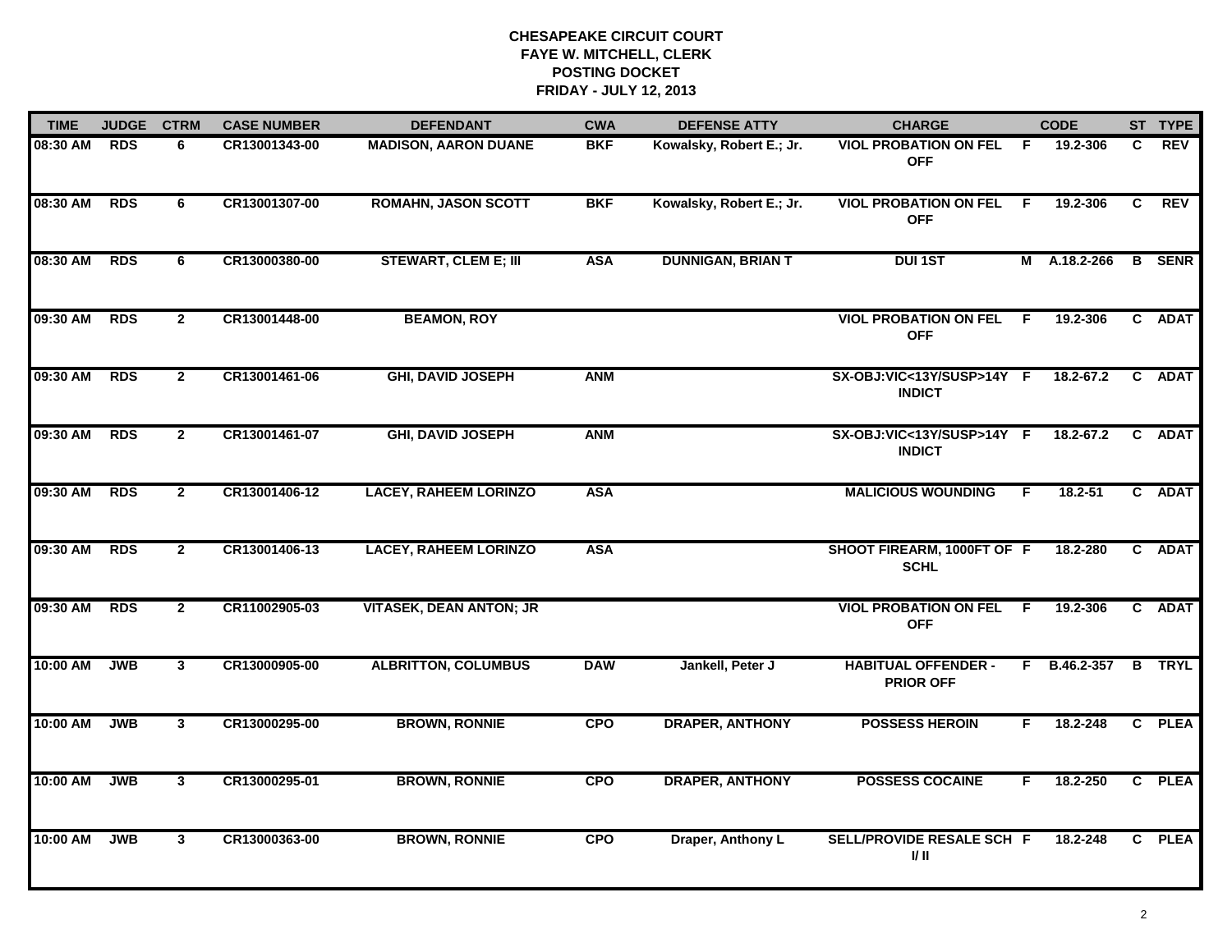| <b>TIME</b> | <b>JUDGE</b> | <b>CTRM</b>    | <b>CASE NUMBER</b> | <b>DEFENDANT</b>               | <b>CWA</b> | <b>DEFENSE ATTY</b>      | <b>CHARGE</b>                                  |     | <b>CODE</b>   |    | ST TYPE       |
|-------------|--------------|----------------|--------------------|--------------------------------|------------|--------------------------|------------------------------------------------|-----|---------------|----|---------------|
| 08:30 AM    | <b>RDS</b>   | 6              | CR13001343-00      | <b>MADISON, AARON DUANE</b>    | <b>BKF</b> | Kowalsky, Robert E.; Jr. | <b>VIOL PROBATION ON FEL</b><br><b>OFF</b>     | - F | 19.2-306      | C. | <b>REV</b>    |
| 08:30 AM    | <b>RDS</b>   | 6              | CR13001307-00      | <b>ROMAHN, JASON SCOTT</b>     | <b>BKF</b> | Kowalsky, Robert E.; Jr. | <b>VIOL PROBATION ON FEL</b><br><b>OFF</b>     | - F | 19.2-306      | C  | REV           |
| 08:30 AM    | <b>RDS</b>   | 6              | CR13000380-00      | <b>STEWART, CLEM E; III</b>    | <b>ASA</b> | <b>DUNNIGAN, BRIAN T</b> | <b>DUI 1ST</b>                                 |     | M A.18.2-266  |    | <b>B</b> SENR |
| 09:30 AM    | <b>RDS</b>   | $\mathbf{2}$   | CR13001448-00      | <b>BEAMON, ROY</b>             |            |                          | <b>VIOL PROBATION ON FEL</b><br><b>OFF</b>     | -F  | 19.2-306      |    | C ADAT        |
| 09:30 AM    | <b>RDS</b>   | $\mathbf{2}$   | CR13001461-06      | <b>GHI, DAVID JOSEPH</b>       | <b>ANM</b> |                          | SX-OBJ:VIC<13Y/SUSP>14Y F<br><b>INDICT</b>     |     | 18.2-67.2     |    | C ADAT        |
| 09:30 AM    | <b>RDS</b>   | $\overline{2}$ | CR13001461-07      | <b>GHI, DAVID JOSEPH</b>       | <b>ANM</b> |                          | SX-OBJ:VIC<13Y/SUSP>14Y F<br><b>INDICT</b>     |     | $18.2 - 67.2$ | C  | <b>ADAT</b>   |
| 09:30 AM    | <b>RDS</b>   | $\mathbf{2}$   | CR13001406-12      | <b>LACEY, RAHEEM LORINZO</b>   | <b>ASA</b> |                          | <b>MALICIOUS WOUNDING</b>                      | F.  | 18.2-51       |    | C ADAT        |
| 09:30 AM    | <b>RDS</b>   | $\mathbf{2}$   | CR13001406-13      | <b>LACEY, RAHEEM LORINZO</b>   | <b>ASA</b> |                          | SHOOT FIREARM, 1000FT OF F<br><b>SCHL</b>      |     | 18.2-280      |    | C ADAT        |
| 09:30 AM    | <b>RDS</b>   | $\mathbf{2}$   | CR11002905-03      | <b>VITASEK, DEAN ANTON; JR</b> |            |                          | <b>VIOL PROBATION ON FEL</b><br><b>OFF</b>     | F.  | 19.2-306      |    | C ADAT        |
| 10:00 AM    | <b>JWB</b>   | $\mathbf{3}$   | CR13000905-00      | <b>ALBRITTON, COLUMBUS</b>     | <b>DAW</b> | Jankell, Peter J         | <b>HABITUAL OFFENDER -</b><br><b>PRIOR OFF</b> |     | F B.46.2-357  |    | <b>B</b> TRYL |
| 10:00 AM    | <b>JWB</b>   | $\mathbf{3}$   | CR13000295-00      | <b>BROWN, RONNIE</b>           | <b>CPO</b> | <b>DRAPER, ANTHONY</b>   | <b>POSSESS HEROIN</b>                          | F   | 18.2-248      |    | C PLEA        |
| 10:00 AM    | <b>JWB</b>   | $\overline{3}$ | CR13000295-01      | <b>BROWN, RONNIE</b>           | <b>CPO</b> | <b>DRAPER, ANTHONY</b>   | <b>POSSESS COCAINE</b>                         | F   | 18.2-250      |    | C PLEA        |
| $10:00$ AM  | <b>JWB</b>   | 3              | CR13000363-00      | <b>BROWN, RONNIE</b>           | <b>CPO</b> | Draper, Anthony L        | SELL/PROVIDE RESALE SCH F<br>I/ II             |     | 18.2-248      |    | C PLEA        |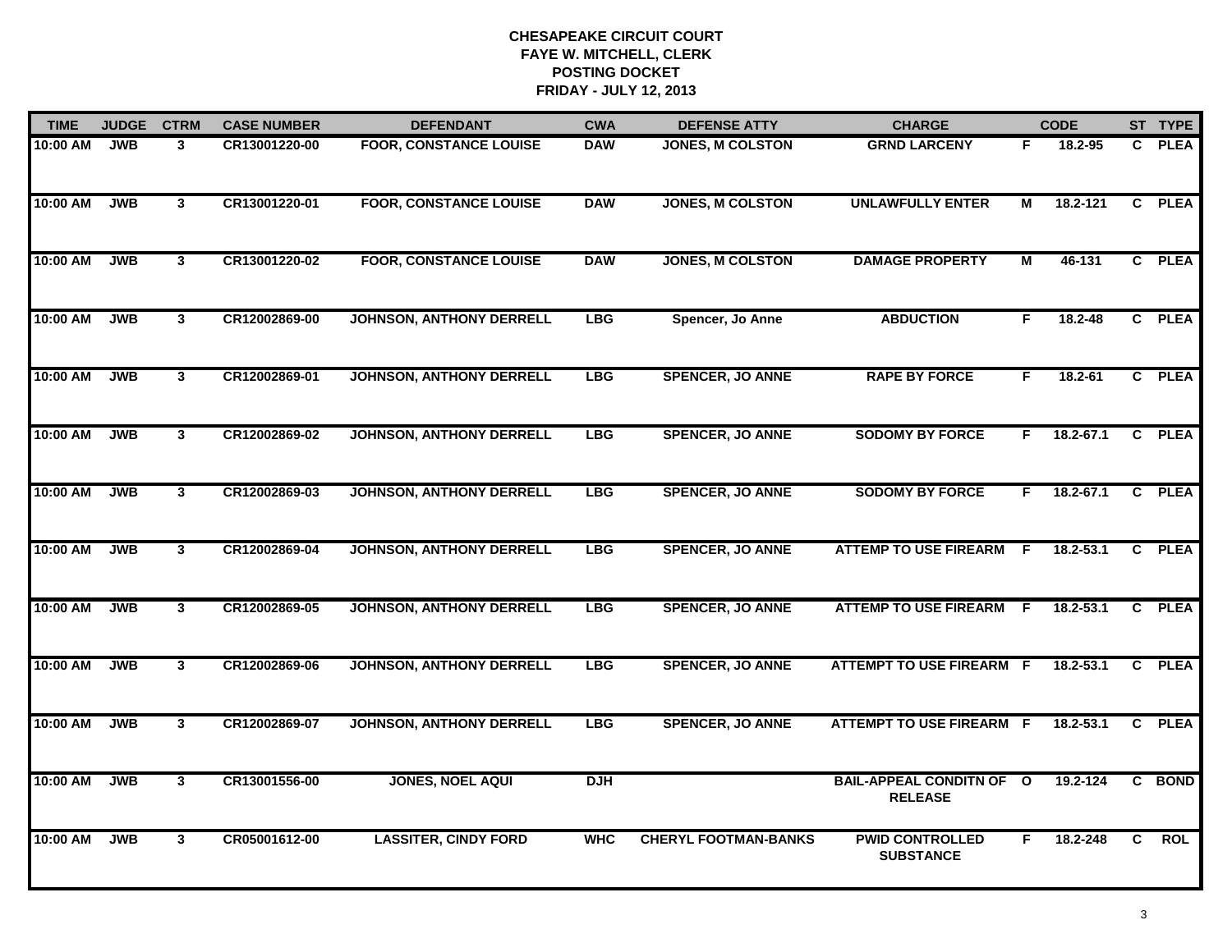| <b>TIME</b> | <b>JUDGE</b> | <b>CTRM</b>    | <b>CASE NUMBER</b> | <b>DEFENDANT</b>                | <b>CWA</b> | <b>DEFENSE ATTY</b>         | <b>CHARGE</b>                                     |    | <b>CODE</b>   |              | ST TYPE     |
|-------------|--------------|----------------|--------------------|---------------------------------|------------|-----------------------------|---------------------------------------------------|----|---------------|--------------|-------------|
| 10:00 AM    | <b>JWB</b>   | 3              | CR13001220-00      | <b>FOOR, CONSTANCE LOUISE</b>   | <b>DAW</b> | <b>JONES, M COLSTON</b>     | <b>GRND LARCENY</b>                               | F  | 18.2-95       | $\mathbf{C}$ | <b>PLEA</b> |
| 10:00 AM    | <b>JWB</b>   | $\mathbf{3}$   | CR13001220-01      | <b>FOOR, CONSTANCE LOUISE</b>   | <b>DAW</b> | <b>JONES, M COLSTON</b>     | <b>UNLAWFULLY ENTER</b>                           | М  | 18.2-121      |              | C PLEA      |
| 10:00 AM    | <b>JWB</b>   | $\mathbf{3}$   | CR13001220-02      | <b>FOOR, CONSTANCE LOUISE</b>   | <b>DAW</b> | <b>JONES, M COLSTON</b>     | <b>DAMAGE PROPERTY</b>                            | М  | 46-131        |              | C PLEA      |
| 10:00 AM    | <b>JWB</b>   | 3 <sup>1</sup> | CR12002869-00      | <b>JOHNSON, ANTHONY DERRELL</b> | <b>LBG</b> | Spencer, Jo Anne            | <b>ABDUCTION</b>                                  | F. | 18.2-48       |              | C PLEA      |
| 10:00 AM    | <b>JWB</b>   | 3              | CR12002869-01      | <b>JOHNSON, ANTHONY DERRELL</b> | <b>LBG</b> | <b>SPENCER, JO ANNE</b>     | <b>RAPE BY FORCE</b>                              | F  | 18.2-61       |              | C PLEA      |
| 10:00 AM    | <b>JWB</b>   | $\mathbf{3}$   | CR12002869-02      | <b>JOHNSON, ANTHONY DERRELL</b> | <b>LBG</b> | <b>SPENCER, JO ANNE</b>     | <b>SODOMY BY FORCE</b>                            | F. | $18.2 - 67.1$ |              | C PLEA      |
| 10:00 AM    | <b>JWB</b>   | $\overline{3}$ | CR12002869-03      | <b>JOHNSON, ANTHONY DERRELL</b> | LBG        | <b>SPENCER, JO ANNE</b>     | <b>SODOMY BY FORCE</b>                            | F. | $18.2 - 67.1$ |              | C PLEA      |
| 10:00 AM    | <b>JWB</b>   | 3 <sup>1</sup> | CR12002869-04      | <b>JOHNSON, ANTHONY DERRELL</b> | <b>LBG</b> | <b>SPENCER, JO ANNE</b>     | <b>ATTEMP TO USE FIREARM</b>                      | F  | 18.2-53.1     |              | C PLEA      |
| 10:00 AM    | <b>JWB</b>   | $\mathbf{3}$   | CR12002869-05      | <b>JOHNSON, ANTHONY DERRELL</b> | <b>LBG</b> | <b>SPENCER, JO ANNE</b>     | <b>ATTEMP TO USE FIREARM</b>                      | -F | $18.2 - 53.1$ | $\mathbf{c}$ | <b>PLEA</b> |
| 10:00 AM    | <b>JWB</b>   | 3              | CR12002869-06      | <b>JOHNSON, ANTHONY DERRELL</b> | <b>LBG</b> | <b>SPENCER, JO ANNE</b>     | <b>ATTEMPT TO USE FIREARM</b>                     | -F | 18.2-53.1     |              | C PLEA      |
| 10:00 AM    | <b>JWB</b>   | $\mathbf{3}$   | CR12002869-07      | <b>JOHNSON, ANTHONY DERRELL</b> | <b>LBG</b> | <b>SPENCER, JO ANNE</b>     | <b>ATTEMPT TO USE FIREARM F</b>                   |    | 18.2-53.1     | $\mathbf{c}$ | <b>PLEA</b> |
| 10:00 AM    | <b>JWB</b>   | $\overline{3}$ | CR13001556-00      | <b>JONES, NOEL AQUI</b>         | <b>DJH</b> |                             | <b>BAIL-APPEAL CONDITN OF O</b><br><b>RELEASE</b> |    | 19.2-124      |              | C BOND      |
| 10:00 AM    | <b>JWB</b>   | $\mathbf{3}$   | CR05001612-00      | <b>LASSITER, CINDY FORD</b>     | <b>WHC</b> | <b>CHERYL FOOTMAN-BANKS</b> | <b>PWID CONTROLLED</b><br><b>SUBSTANCE</b>        | F. | 18.2-248      | C.           | <b>ROL</b>  |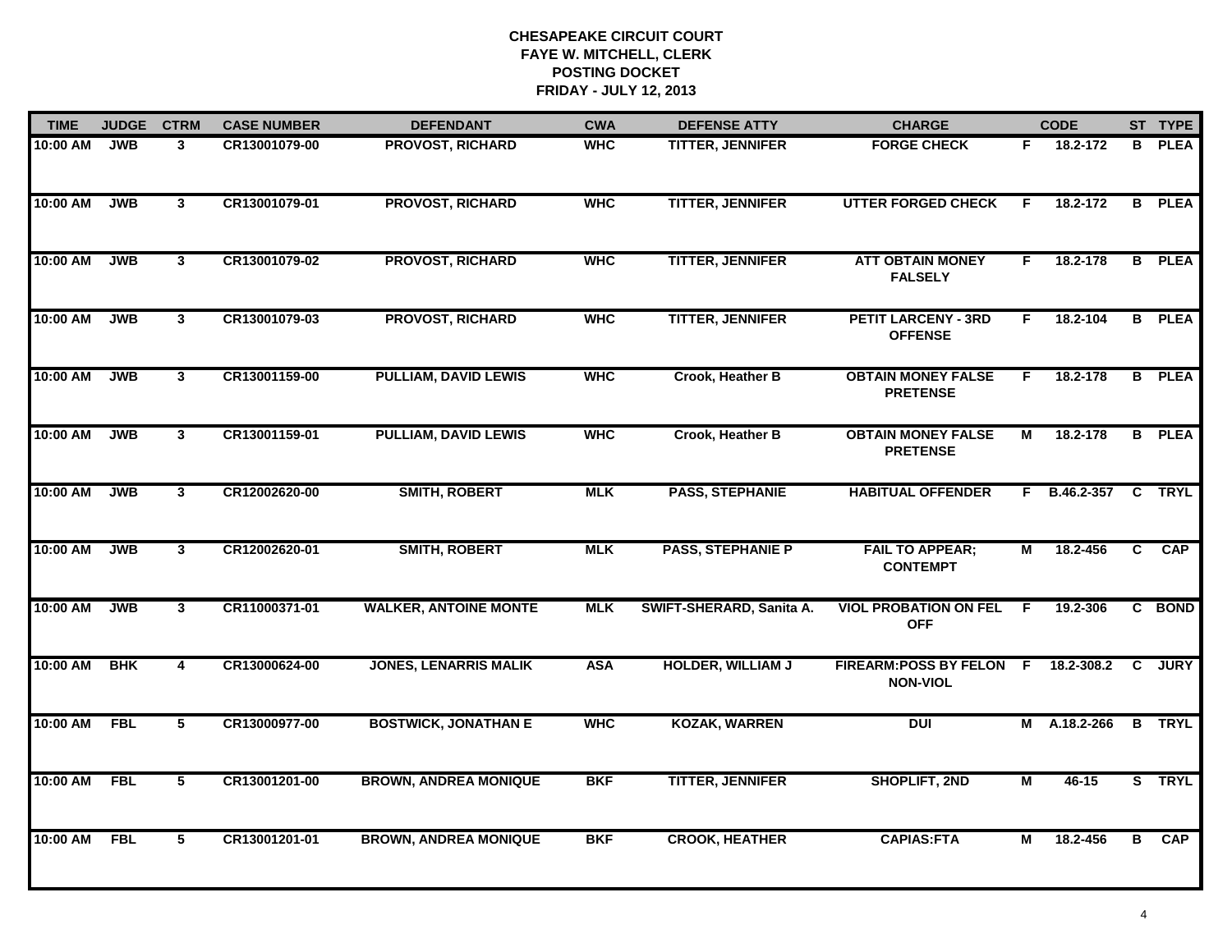| <b>TIME</b> | <b>JUDGE</b> | <b>CTRM</b>    | <b>CASE NUMBER</b> | <b>DEFENDANT</b>             | <b>CWA</b> | <b>DEFENSE ATTY</b>      | <b>CHARGE</b>                                   |    | <b>CODE</b>              |              | ST TYPE       |
|-------------|--------------|----------------|--------------------|------------------------------|------------|--------------------------|-------------------------------------------------|----|--------------------------|--------------|---------------|
| 10:00 AM    | <b>JWB</b>   | 3              | CR13001079-00      | PROVOST, RICHARD             | <b>WHC</b> | TITTER, JENNIFER         | <b>FORGE CHECK</b>                              | F. | 18.2-172                 | в            | <b>PLEA</b>   |
| 10:00 AM    | <b>JWB</b>   | $\mathbf{3}$   | CR13001079-01      | <b>PROVOST, RICHARD</b>      | <b>WHC</b> | <b>TITTER, JENNIFER</b>  | <b>UTTER FORGED CHECK</b>                       | F. | 18.2-172                 | B            | <b>PLEA</b>   |
| 10:00 AM    | <b>JWB</b>   | $\mathbf{3}$   | CR13001079-02      | <b>PROVOST, RICHARD</b>      | <b>WHC</b> | <b>TITTER, JENNIFER</b>  | <b>ATT OBTAIN MONEY</b><br><b>FALSELY</b>       | F. | 18.2-178                 |              | <b>B</b> PLEA |
| 10:00 AM    | <b>JWB</b>   | 3              | CR13001079-03      | <b>PROVOST, RICHARD</b>      | <b>WHC</b> | <b>TITTER, JENNIFER</b>  | <b>PETIT LARCENY - 3RD</b><br><b>OFFENSE</b>    | F. | 18.2-104                 |              | <b>B</b> PLEA |
| 10:00 AM    | <b>JWB</b>   | $\overline{3}$ | CR13001159-00      | <b>PULLIAM, DAVID LEWIS</b>  | <b>WHC</b> | Crook, Heather B         | <b>OBTAIN MONEY FALSE</b><br><b>PRETENSE</b>    | F. | 18.2-178                 |              | <b>B</b> PLEA |
| 10:00 AM    | <b>JWB</b>   | 3 <sup>1</sup> | CR13001159-01      | <b>PULLIAM, DAVID LEWIS</b>  | <b>WHC</b> | Crook, Heather B         | <b>OBTAIN MONEY FALSE</b><br><b>PRETENSE</b>    | М  | 18.2-178                 |              | <b>B</b> PLEA |
| 10:00 AM    | <b>JWB</b>   | $\mathbf{3}$   | CR12002620-00      | <b>SMITH, ROBERT</b>         | <b>MLK</b> | <b>PASS, STEPHANIE</b>   | <b>HABITUAL OFFENDER</b>                        | F. | <b>B.46.2-357 C TRYL</b> |              |               |
| 10:00 AM    | <b>JWB</b>   | $\mathbf{3}$   | CR12002620-01      | <b>SMITH, ROBERT</b>         | <b>MLK</b> | <b>PASS, STEPHANIE P</b> | <b>FAIL TO APPEAR;</b><br><b>CONTEMPT</b>       | М  | 18.2-456                 | C            | <b>CAP</b>    |
| 10:00 AM    | <b>JWB</b>   | $\mathbf{3}$   | CR11000371-01      | <b>WALKER, ANTOINE MONTE</b> | <b>MLK</b> | SWIFT-SHERARD, Sanita A. | <b>VIOL PROBATION ON FEL</b><br><b>OFF</b>      | -F | 19.2-306                 |              | C BOND        |
| 10:00 AM    | <b>BHK</b>   | 4              | CR13000624-00      | <b>JONES, LENARRIS MALIK</b> | <b>ASA</b> | <b>HOLDER, WILLIAM J</b> | <b>FIREARM:POSS BY FELON</b><br><b>NON-VIOL</b> | F. | 18.2-308.2               | $\mathbf{c}$ | <b>JURY</b>   |
| 10:00 AM    | <b>FBL</b>   | 5              | CR13000977-00      | <b>BOSTWICK, JONATHAN E</b>  | <b>WHC</b> | <b>KOZAK, WARREN</b>     | DUI                                             | М  | A.18.2-266               | В            | <b>TRYL</b>   |
| 10:00 AM    | <b>FBL</b>   | 5              | CR13001201-00      | <b>BROWN, ANDREA MONIQUE</b> | <b>BKF</b> | <b>TITTER, JENNIFER</b>  | <b>SHOPLIFT, 2ND</b>                            | М  | 46-15                    |              | S TRYL        |
| 10:00 AM    | <b>FBL</b>   | 5              | CR13001201-01      | <b>BROWN, ANDREA MONIQUE</b> | <b>BKF</b> | <b>CROOK, HEATHER</b>    | <b>CAPIAS:FTA</b>                               | М  | 18.2-456                 | B            | <b>CAP</b>    |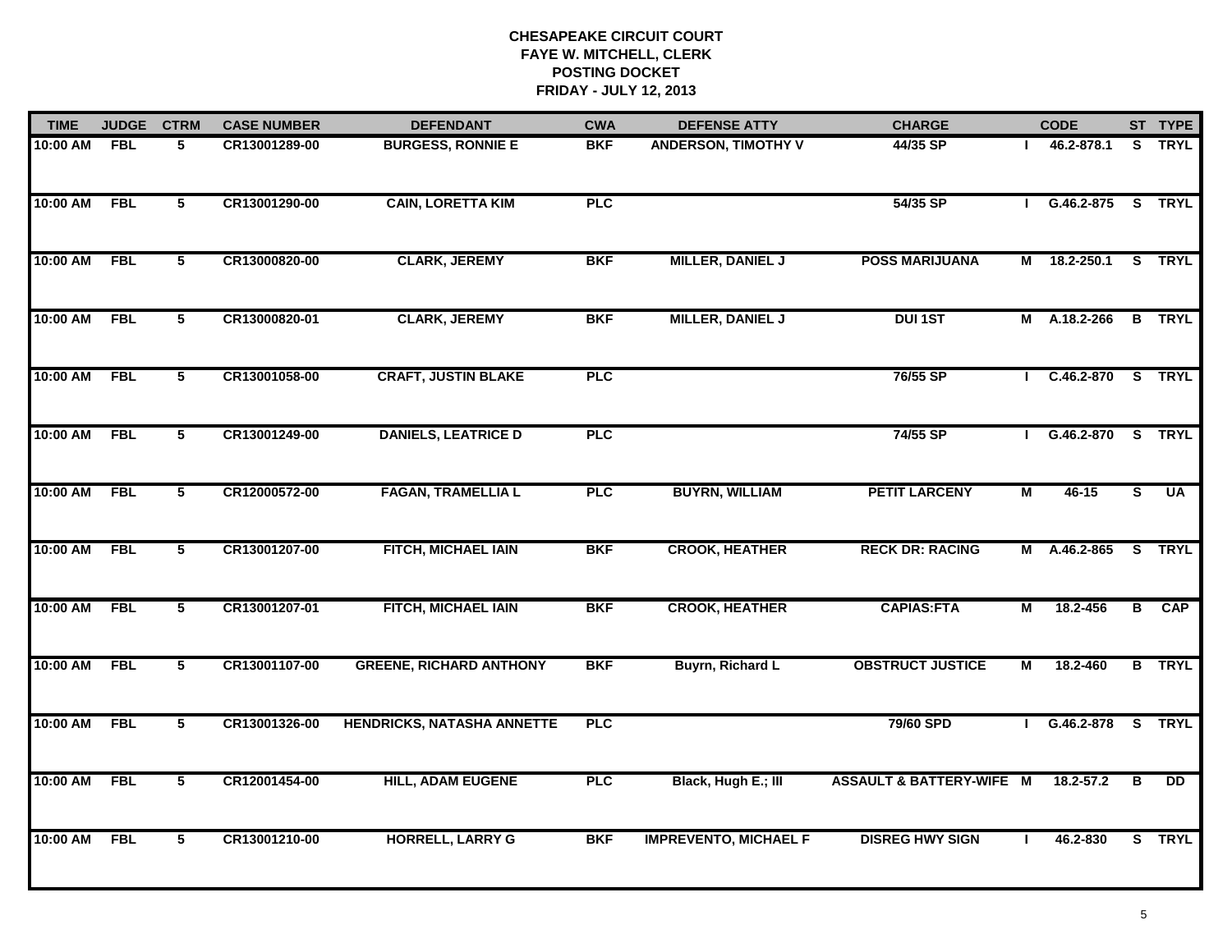| <b>TIME</b> | <b>JUDGE</b> | <b>CTRM</b>    | <b>CASE NUMBER</b> | <b>DEFENDANT</b>                  | <b>CWA</b> | <b>DEFENSE ATTY</b>          | <b>CHARGE</b>                       |                | <b>CODE</b>         |                         | ST TYPE       |
|-------------|--------------|----------------|--------------------|-----------------------------------|------------|------------------------------|-------------------------------------|----------------|---------------------|-------------------------|---------------|
| 10:00 AM    | <b>FBL</b>   | 5              | CR13001289-00      | <b>BURGESS, RONNIE E</b>          | <b>BKF</b> | <b>ANDERSON, TIMOTHY V</b>   | 44/35 SP                            |                | 46.2-878.1          |                         | S TRYL        |
| 10:00 AM    | <b>FBL</b>   | $\overline{5}$ | CR13001290-00      | <b>CAIN, LORETTA KIM</b>          | PLC        |                              | 54/35 SP                            |                | G.46.2-875 S TRYL   |                         |               |
| 10:00 AM    | <b>FBL</b>   | 5              | CR13000820-00      | <b>CLARK, JEREMY</b>              | <b>BKF</b> | <b>MILLER, DANIEL J</b>      | <b>POSS MARIJUANA</b>               | Μ              | 18.2-250.1          |                         | S TRYL        |
| 10:00 AM    | <b>FBL</b>   | 5              | CR13000820-01      | <b>CLARK, JEREMY</b>              | <b>BKF</b> | <b>MILLER, DANIEL J</b>      | <b>DUI1ST</b>                       | М              | A.18.2-266          |                         | <b>B</b> TRYL |
| 10:00 AM    | <b>FBL</b>   | $\overline{5}$ | CR13001058-00      | <b>CRAFT, JUSTIN BLAKE</b>        | PLC        |                              | 76/55 SP                            |                | $C.46.2 - 870$      |                         | S TRYL        |
| 10:00 AM    | <b>FBL</b>   | 5              | CR13001249-00      | <b>DANIELS, LEATRICE D</b>        | <b>PLC</b> |                              | 74/55 SP                            |                | G.46.2-870          | $\overline{\mathbf{s}}$ | <b>TRYL</b>   |
| 10:00 AM    | <b>FBL</b>   | 5              | CR12000572-00      | <b>FAGAN, TRAMELLIA L</b>         | PLC        | <b>BUYRN, WILLIAM</b>        | <b>PETIT LARCENY</b>                | $\overline{M}$ | $46 - 15$           | $\overline{s}$          | <b>UA</b>     |
| 10:00 AM    | <b>FBL</b>   | 5              | CR13001207-00      | FITCH, MICHAEL IAIN               | <b>BKF</b> | <b>CROOK, HEATHER</b>        | <b>RECK DR: RACING</b>              |                | M A.46.2-865 S TRYL |                         |               |
| 10:00 AM    | <b>FBL</b>   | 5              | CR13001207-01      | FITCH, MICHAEL IAIN               | <b>BKF</b> | <b>CROOK, HEATHER</b>        | <b>CAPIAS:FTA</b>                   | М              | 18.2-456            |                         | <b>B</b> CAP  |
| 10:00 AM    | <b>FBL</b>   | 5              | CR13001107-00      | <b>GREENE, RICHARD ANTHONY</b>    | <b>BKF</b> | <b>Buyrn, Richard L</b>      | <b>OBSTRUCT JUSTICE</b>             | М              | 18.2-460            |                         | <b>B</b> TRYL |
| 10:00 AM    | <b>FBL</b>   | $\overline{5}$ | CR13001326-00      | <b>HENDRICKS, NATASHA ANNETTE</b> | <b>PLC</b> |                              | 79/60 SPD                           |                | G.46.2-878 S TRYL   |                         |               |
| 10:00 AM    | <b>FBL</b>   | 5              | CR12001454-00      | <b>HILL, ADAM EUGENE</b>          | <b>PLC</b> | Black, Hugh E.; III          | <b>ASSAULT &amp; BATTERY-WIFE M</b> |                | 18.2-57.2           | в                       | <b>DD</b>     |
| 10:00 AM    | <b>FBL</b>   | 5              | CR13001210-00      | <b>HORRELL, LARRY G</b>           | <b>BKF</b> | <b>IMPREVENTO, MICHAEL F</b> | <b>DISREG HWY SIGN</b>              |                | 46.2-830            |                         | S TRYL        |
|             |              |                |                    |                                   |            |                              |                                     |                |                     |                         |               |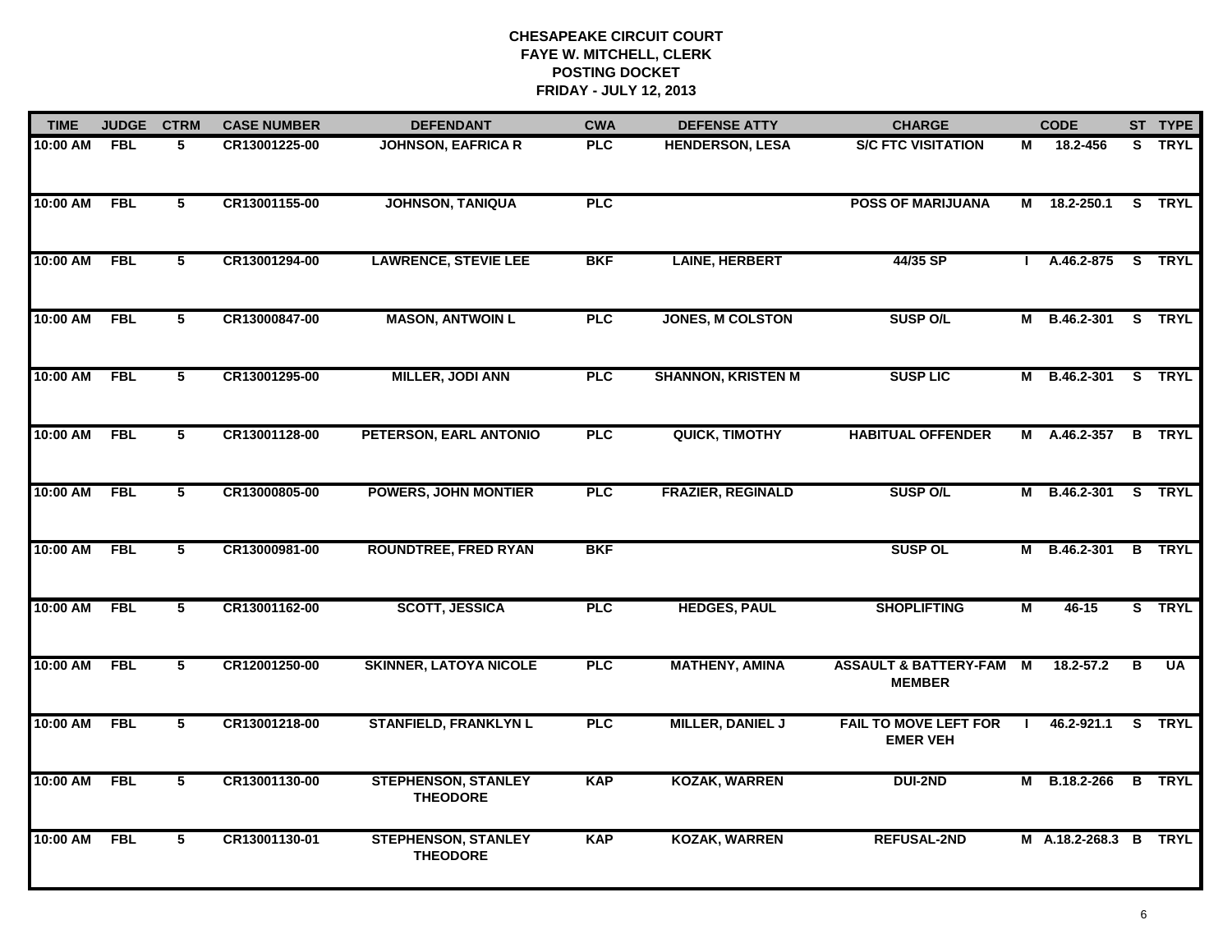| <b>TIME</b>  | <b>JUDGE</b> | <b>CTRM</b>             | <b>CASE NUMBER</b> | <b>DEFENDANT</b>                              | <b>CWA</b> | <b>DEFENSE ATTY</b>       | <b>CHARGE</b>                                     |    | <b>CODE</b>           |   | ST TYPE       |
|--------------|--------------|-------------------------|--------------------|-----------------------------------------------|------------|---------------------------|---------------------------------------------------|----|-----------------------|---|---------------|
| 10:00 AM FBL |              | 5                       | CR13001225-00      | <b>JOHNSON, EAFRICA R</b>                     | <b>PLC</b> | <b>HENDERSON, LESA</b>    | <b>S/C FTC VISITATION</b>                         | М  | 18.2-456              |   | S TRYL        |
| 10:00 AM     | FBL          | $5\overline{ }$         | CR13001155-00      | <b>JOHNSON, TANIQUA</b>                       | PLC        |                           | <b>POSS OF MARIJUANA</b>                          |    | M 18.2-250.1          |   | S TRYL        |
| 10:00 AM     | <b>FBL</b>   | 5                       | CR13001294-00      | <b>LAWRENCE, STEVIE LEE</b>                   | <b>BKF</b> | <b>LAINE, HERBERT</b>     | 44/35 SP                                          |    | A.46.2-875            |   | S TRYL        |
| 10:00 AM     | <b>FBL</b>   | 5                       | CR13000847-00      | <b>MASON, ANTWOIN L</b>                       | <b>PLC</b> | <b>JONES, M COLSTON</b>   | <b>SUSP O/L</b>                                   |    | M B.46.2-301 S TRYL   |   |               |
| 10:00 AM     | <b>FBL</b>   | 5                       | CR13001295-00      | <b>MILLER, JODI ANN</b>                       | <b>PLC</b> | <b>SHANNON, KRISTEN M</b> | <b>SUSP LIC</b>                                   |    | M B.46.2-301 S TRYL   |   |               |
| 10:00 AM FBL |              | 5                       | CR13001128-00      | PETERSON, EARL ANTONIO                        | <b>PLC</b> | QUICK, TIMOTHY            | <b>HABITUAL OFFENDER</b>                          |    | M A.46.2-357          |   | <b>B</b> TRYL |
| 10:00 AM     | <b>FBL</b>   | $\overline{5}$          | CR13000805-00      | <b>POWERS, JOHN MONTIER</b>                   | <b>PLC</b> | <b>FRAZIER, REGINALD</b>  | <b>SUSP O/L</b>                                   |    | M B.46.2-301 S TRYL   |   |               |
| 10:00 AM     | <b>FBL</b>   | $5\overline{5}$         | CR13000981-00      | <b>ROUNDTREE, FRED RYAN</b>                   | <b>BKF</b> |                           | <b>SUSP OL</b>                                    |    | M B.46.2-301          |   | <b>B</b> TRYL |
| 10:00 AM     | <b>FBL</b>   | 5                       | CR13001162-00      | <b>SCOTT, JESSICA</b>                         | <b>PLC</b> | <b>HEDGES, PAUL</b>       | <b>SHOPLIFTING</b>                                | М  | 46-15                 |   | S TRYL        |
| 10:00 AM     | FBL          | 5                       | CR12001250-00      | <b>SKINNER, LATOYA NICOLE</b>                 | <b>PLC</b> | <b>MATHENY, AMINA</b>     | <b>ASSAULT &amp; BATTERY-FAM</b><br><b>MEMBER</b> | M  | $18.2 - 57.2$         | B | <b>UA</b>     |
| 10:00 AM     | <b>FBL</b>   | 5                       | CR13001218-00      | <b>STANFIELD, FRANKLYN L</b>                  | <b>PLC</b> | MILLER, DANIEL J          | <b>FAIL TO MOVE LEFT FOR</b><br><b>EMER VEH</b>   | л. | 46.2-921.1            |   | S TRYL        |
| 10:00 AM     | <b>FBL</b>   | $\overline{\mathbf{5}}$ | CR13001130-00      | <b>STEPHENSON, STANLEY</b><br><b>THEODORE</b> | <b>KAP</b> | <b>KOZAK, WARREN</b>      | DUI-2ND                                           |    | M B.18.2-266          |   | <b>B</b> TRYL |
| 10:00 AM     | <b>FBL</b>   | 5                       | CR13001130-01      | <b>STEPHENSON, STANLEY</b><br><b>THEODORE</b> | <b>KAP</b> | <b>KOZAK, WARREN</b>      | <b>REFUSAL-2ND</b>                                |    | M A.18.2-268.3 B TRYL |   |               |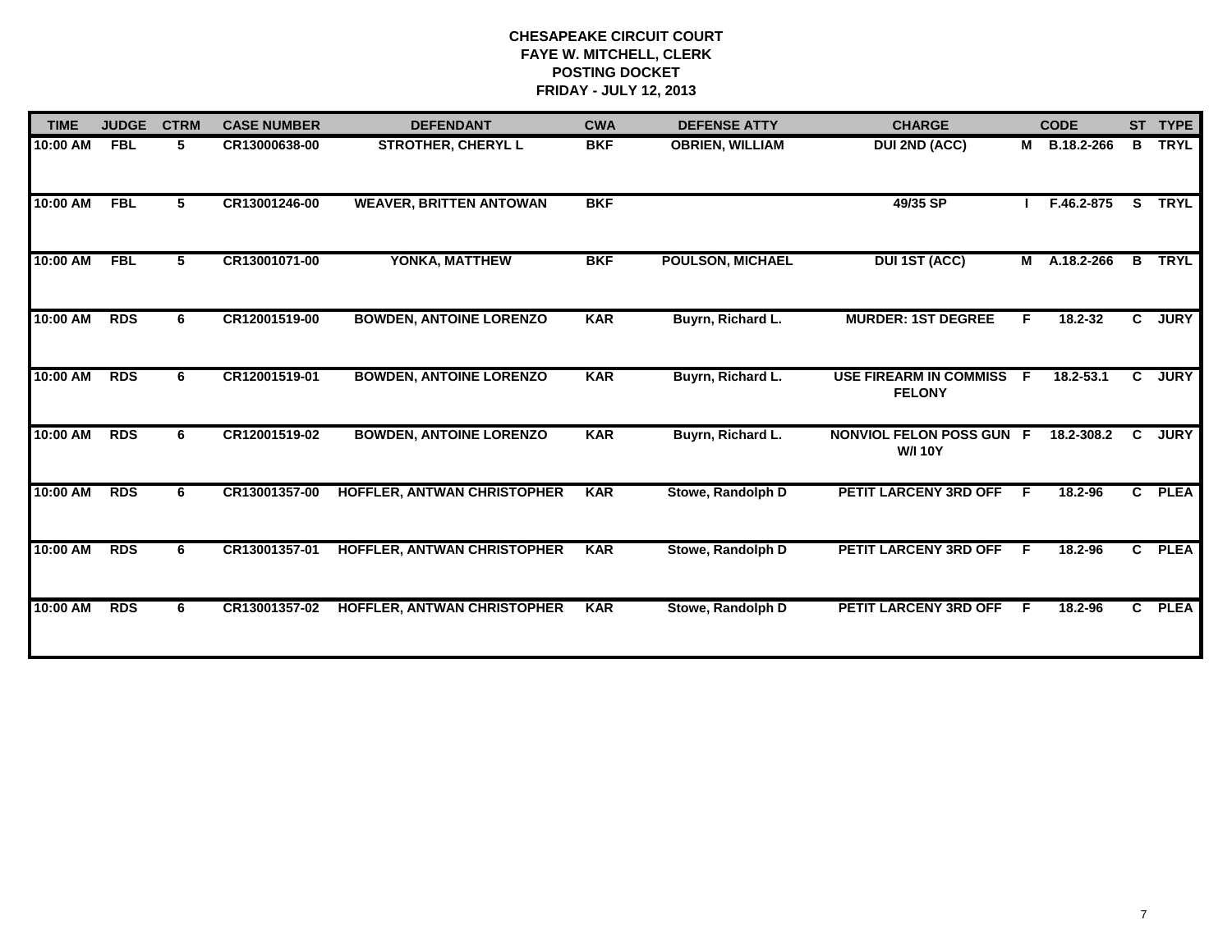| <b>TIME</b> | <b>JUDGE</b> | <b>CTRM</b> | <b>CASE NUMBER</b> | <b>DEFENDANT</b>               | <b>CWA</b> | <b>DEFENSE ATTY</b>     | <b>CHARGE</b>                                     |          | <b>CODE</b>  |              | ST TYPE     |
|-------------|--------------|-------------|--------------------|--------------------------------|------------|-------------------------|---------------------------------------------------|----------|--------------|--------------|-------------|
| 10:00 AM    | <b>FBL</b>   | 5           | CR13000638-00      | <b>STROTHER, CHERYL L</b>      | <b>BKF</b> | <b>OBRIEN, WILLIAM</b>  | <b>DUI 2ND (ACC)</b>                              | <b>M</b> | B.18.2-266   | $\mathbf{B}$ | <b>TRYL</b> |
| 10:00 AM    | <b>FBL</b>   | 5.          | CR13001246-00      | <b>WEAVER, BRITTEN ANTOWAN</b> | <b>BKF</b> |                         | 49/35 SP                                          |          | F.46.2-875   |              | S TRYL      |
| 10:00 AM    | <b>FBL</b>   | 5           | CR13001071-00      | YONKA, MATTHEW                 | <b>BKF</b> | <b>POULSON, MICHAEL</b> | <b>DUI 1ST (ACC)</b>                              |          | M A.18.2-266 | B            | <b>TRYL</b> |
| 10:00 AM    | <b>RDS</b>   | 6.          | CR12001519-00      | <b>BOWDEN, ANTOINE LORENZO</b> | <b>KAR</b> | Buyrn, Richard L.       | <b>MURDER: 1ST DEGREE</b>                         | F        | 18.2-32      | C            | <b>JURY</b> |
| 10:00 AM    | <b>RDS</b>   | 6           | CR12001519-01      | <b>BOWDEN, ANTOINE LORENZO</b> | <b>KAR</b> | Buyrn, Richard L.       | <b>USE FIREARM IN COMMISS</b><br><b>FELONY</b>    | E        | 18.2-53.1    | C            | <b>JURY</b> |
| 10:00 AM    | <b>RDS</b>   | 6.          | CR12001519-02      | <b>BOWDEN, ANTOINE LORENZO</b> | <b>KAR</b> | Buyrn, Richard L.       | <b>NONVIOL FELON POSS GUN F</b><br><b>W/I 10Y</b> |          | 18.2-308.2   | C.           | <b>JURY</b> |
| 10:00 AM    | <b>RDS</b>   | 6           | CR13001357-00      | HOFFLER, ANTWAN CHRISTOPHER    | <b>KAR</b> | Stowe, Randolph D       | <b>PETIT LARCENY 3RD OFF</b>                      | -F       | 18.2-96      | $\mathbf{c}$ | <b>PLEA</b> |
| 10:00 AM    | <b>RDS</b>   | 6           | CR13001357-01      | HOFFLER, ANTWAN CHRISTOPHER    | <b>KAR</b> | Stowe, Randolph D       | PETIT LARCENY 3RD OFF                             | F        | 18.2-96      | $\mathbf{c}$ | <b>PLEA</b> |
| 10:00 AM    | <b>RDS</b>   | 6.          | CR13001357-02      | HOFFLER, ANTWAN CHRISTOPHER    | <b>KAR</b> | Stowe, Randolph D       | PETIT LARCENY 3RD OFF                             | F.       | 18.2-96      |              | C PLEA      |